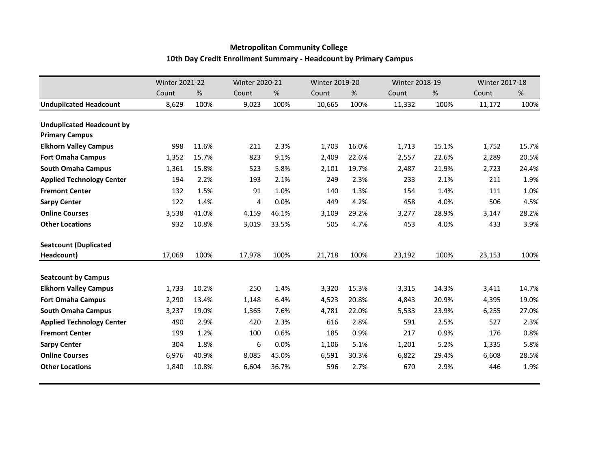## **Metropolitan Community College 10th Day Credit Enrollment Summary - Headcount by Primary Campus**

|                                  | <b>Winter 2021-22</b> |       |        | <b>Winter 2020-21</b> |        | <b>Winter 2019-20</b> |        | Winter 2018-19 |        | <b>Winter 2017-18</b> |  |
|----------------------------------|-----------------------|-------|--------|-----------------------|--------|-----------------------|--------|----------------|--------|-----------------------|--|
|                                  | Count                 | %     | Count  | $\%$                  | Count  | $\%$                  | Count  | %              | Count  | $\%$                  |  |
| <b>Unduplicated Headcount</b>    | 8,629                 | 100%  | 9,023  | 100%                  | 10,665 | 100%                  | 11,332 | 100%           | 11,172 | 100%                  |  |
|                                  |                       |       |        |                       |        |                       |        |                |        |                       |  |
| <b>Unduplicated Headcount by</b> |                       |       |        |                       |        |                       |        |                |        |                       |  |
| <b>Primary Campus</b>            |                       |       |        |                       |        |                       |        |                |        |                       |  |
| <b>Elkhorn Valley Campus</b>     | 998                   | 11.6% | 211    | 2.3%                  | 1,703  | 16.0%                 | 1,713  | 15.1%          | 1,752  | 15.7%                 |  |
| <b>Fort Omaha Campus</b>         | 1,352                 | 15.7% | 823    | 9.1%                  | 2,409  | 22.6%                 | 2,557  | 22.6%          | 2,289  | 20.5%                 |  |
| <b>South Omaha Campus</b>        | 1,361                 | 15.8% | 523    | 5.8%                  | 2,101  | 19.7%                 | 2,487  | 21.9%          | 2,723  | 24.4%                 |  |
| <b>Applied Technology Center</b> | 194                   | 2.2%  | 193    | 2.1%                  | 249    | 2.3%                  | 233    | 2.1%           | 211    | 1.9%                  |  |
| <b>Fremont Center</b>            | 132                   | 1.5%  | 91     | 1.0%                  | 140    | 1.3%                  | 154    | 1.4%           | 111    | 1.0%                  |  |
| <b>Sarpy Center</b>              | 122                   | 1.4%  | 4      | 0.0%                  | 449    | 4.2%                  | 458    | 4.0%           | 506    | 4.5%                  |  |
| <b>Online Courses</b>            | 3,538                 | 41.0% | 4,159  | 46.1%                 | 3,109  | 29.2%                 | 3,277  | 28.9%          | 3,147  | 28.2%                 |  |
| <b>Other Locations</b>           | 932                   | 10.8% | 3,019  | 33.5%                 | 505    | 4.7%                  | 453    | 4.0%           | 433    | 3.9%                  |  |
| <b>Seatcount (Duplicated</b>     |                       |       |        |                       |        |                       |        |                |        |                       |  |
| Headcount)                       | 17,069                | 100%  | 17,978 | 100%                  | 21,718 | 100%                  | 23,192 | 100%           | 23,153 | 100%                  |  |
| <b>Seatcount by Campus</b>       |                       |       |        |                       |        |                       |        |                |        |                       |  |
| <b>Elkhorn Valley Campus</b>     | 1,733                 | 10.2% | 250    | 1.4%                  | 3,320  | 15.3%                 | 3,315  | 14.3%          | 3,411  | 14.7%                 |  |
| <b>Fort Omaha Campus</b>         | 2,290                 | 13.4% | 1,148  | 6.4%                  | 4,523  | 20.8%                 | 4,843  | 20.9%          | 4,395  | 19.0%                 |  |
| <b>South Omaha Campus</b>        | 3,237                 | 19.0% | 1,365  | 7.6%                  | 4,781  | 22.0%                 | 5,533  | 23.9%          | 6,255  | 27.0%                 |  |
| <b>Applied Technology Center</b> | 490                   | 2.9%  | 420    | 2.3%                  | 616    | 2.8%                  | 591    | 2.5%           | 527    | 2.3%                  |  |
| <b>Fremont Center</b>            | 199                   | 1.2%  | 100    | 0.6%                  | 185    | 0.9%                  | 217    | 0.9%           | 176    | 0.8%                  |  |
| <b>Sarpy Center</b>              | 304                   | 1.8%  | 6      | 0.0%                  | 1,106  | 5.1%                  | 1,201  | 5.2%           | 1,335  | 5.8%                  |  |
| <b>Online Courses</b>            | 6,976                 | 40.9% | 8,085  | 45.0%                 | 6,591  | 30.3%                 | 6,822  | 29.4%          | 6,608  | 28.5%                 |  |
| <b>Other Locations</b>           | 1,840                 | 10.8% | 6,604  | 36.7%                 | 596    | 2.7%                  | 670    | 2.9%           | 446    | 1.9%                  |  |
|                                  |                       |       |        |                       |        |                       |        |                |        |                       |  |